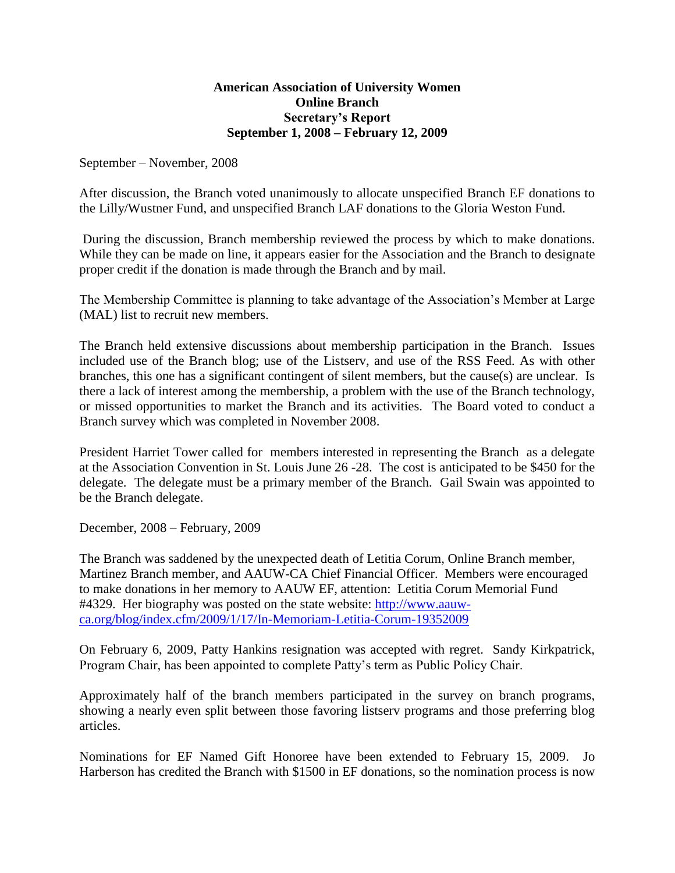## **American Association of University Women Online Branch Secretary's Report September 1, 2008 – February 12, 2009**

September – November, 2008

After discussion, the Branch voted unanimously to allocate unspecified Branch EF donations to the Lilly/Wustner Fund, and unspecified Branch LAF donations to the Gloria Weston Fund.

During the discussion, Branch membership reviewed the process by which to make donations. While they can be made on line, it appears easier for the Association and the Branch to designate proper credit if the donation is made through the Branch and by mail.

The Membership Committee is planning to take advantage of the Association's Member at Large (MAL) list to recruit new members.

The Branch held extensive discussions about membership participation in the Branch. Issues included use of the Branch blog; use of the Listserv, and use of the RSS Feed. As with other branches, this one has a significant contingent of silent members, but the cause(s) are unclear. Is there a lack of interest among the membership, a problem with the use of the Branch technology, or missed opportunities to market the Branch and its activities. The Board voted to conduct a Branch survey which was completed in November 2008.

President Harriet Tower called for members interested in representing the Branch as a delegate at the Association Convention in St. Louis June 26 -28. The cost is anticipated to be \$450 for the delegate. The delegate must be a primary member of the Branch. Gail Swain was appointed to be the Branch delegate.

December, 2008 – February, 2009

The Branch was saddened by the unexpected death of Letitia Corum, Online Branch member, Martinez Branch member, and AAUW-CA Chief Financial Officer. Members were encouraged to make donations in her memory to AAUW EF, attention: Letitia Corum Memorial Fund #4329. Her biography was posted on the state website: [http://www.aauw](http://www.aauw-ca.org/blog/index.cfm/2009/1/17/In-Memoriam-Letitia-Corum-19352009)[ca.org/blog/index.cfm/2009/1/17/In-Memoriam-Letitia-Corum-19352009](http://www.aauw-ca.org/blog/index.cfm/2009/1/17/In-Memoriam-Letitia-Corum-19352009)

On February 6, 2009, Patty Hankins resignation was accepted with regret. Sandy Kirkpatrick, Program Chair, has been appointed to complete Patty's term as Public Policy Chair.

Approximately half of the branch members participated in the survey on branch programs, showing a nearly even split between those favoring listserv programs and those preferring blog articles.

Nominations for EF Named Gift Honoree have been extended to February 15, 2009. Jo Harberson has credited the Branch with \$1500 in EF donations, so the nomination process is now